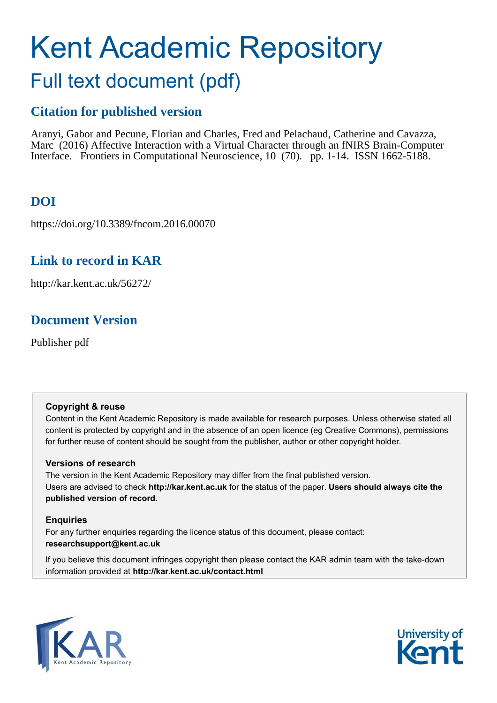# Kent Academic Repository Full text document (pdf)

# **Citation for published version**

Aranyi, Gabor and Pecune, Florian and Charles, Fred and Pelachaud, Catherine and Cavazza, Marc (2016) Affective Interaction with a Virtual Character through an fNIRS Brain-Computer Interface. Frontiers in Computational Neuroscience, 10 (70). pp. 1-14. ISSN 1662-5188.

# **DOI**

https://doi.org/10.3389/fncom.2016.00070

### **Link to record in KAR**

http://kar.kent.ac.uk/56272/

# **Document Version**

Publisher pdf

#### **Copyright & reuse**

Content in the Kent Academic Repository is made available for research purposes. Unless otherwise stated all content is protected by copyright and in the absence of an open licence (eg Creative Commons), permissions for further reuse of content should be sought from the publisher, author or other copyright holder.

#### **Versions of research**

The version in the Kent Academic Repository may differ from the final published version. Users are advised to check **http://kar.kent.ac.uk** for the status of the paper. **Users should always cite the published version of record.**

#### **Enquiries**

For any further enquiries regarding the licence status of this document, please contact: **researchsupport@kent.ac.uk**

If you believe this document infringes copyright then please contact the KAR admin team with the take-down information provided at **http://kar.kent.ac.uk/contact.html**



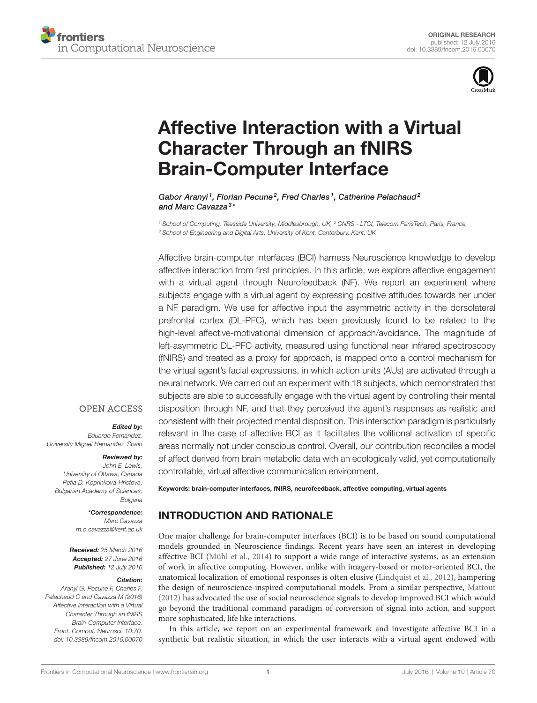



# [Affective Interaction with a Virtual](http://journal.frontiersin.org/article/10.3389/fncom.2016.00070/abstract) [Character Through an fNIRS](http://journal.frontiersin.org/article/10.3389/fncom.2016.00070/abstract) [Brain-Computer Interface](http://journal.frontiersin.org/article/10.3389/fncom.2016.00070/abstract)

[Gabor Aranyi](http://loop.frontiersin.org/people/359517/overview)<sup>1</sup>, Florian Pecune<sup>2</sup>, [Fred Charles](http://loop.frontiersin.org/people/303123/overview)<sup>1</sup>, Catherine Pelachaud<sup>2</sup> and [Marc Cavazza](http://loop.frontiersin.org/people/342880/overview)<sup>3</sup>\*

*<sup>1</sup> School of Computing, Teesside University, Middlesbrough, UK, <sup>2</sup> CNRS - LTCI, Telecom ParisTech, Paris, France, <sup>3</sup> School of Engineering and Digital Arts, University of Kent, Canterbury, Kent, UK*

Affective brain-computer interfaces (BCI) harness Neuroscience knowledge to develop affective interaction from first principles. In this article, we explore affective engagement with a virtual agent through Neurofeedback (NF). We report an experiment where subjects engage with a virtual agent by expressing positive attitudes towards her under a NF paradigm. We use for affective input the asymmetric activity in the dorsolateral prefrontal cortex (DL-PFC), which has been previously found to be related to the high-level affective-motivational dimension of approach/avoidance. The magnitude of left-asymmetric DL-PFC activity, measured using functional near infrared spectroscopy (fNIRS) and treated as a proxy for approach, is mapped onto a control mechanism for the virtual agent's facial expressions, in which action units (AUs) are activated through a neural network. We carried out an experiment with 18 subjects, which demonstrated that subjects are able to successfully engage with the virtual agent by controlling their mental disposition through NF, and that they perceived the agent's responses as realistic and consistent with their projected mental disposition. This interaction paradigm is particularly relevant in the case of affective BCI as it facilitates the volitional activation of specific areas normally not under conscious control. Overall, our contribution reconciles a model of affect derived from brain metabolic data with an ecologically valid, yet computationally controllable, virtual affective communication environment.

#### **OPEN ACCESS**

#### Edited by:

*Eduardo Fernandez, University Miguel Hernandez, Spain*

#### Reviewed by:

*John E. Lewis, University of Ottawa, Canada Petia D. Koprinkova-Hristova, Bulgarian Academy of Sciences, Bulgaria*

> \*Correspondence: *Marc Cavazza [m.o.cavazza@kent.ac.uk](mailto:m.o.cavazza@kent.ac.uk)*

Received: *25 March 2016* Accepted: *27 June 2016* Published: *12 July 2016*

#### Citation:

*Aranyi G, Pecune F, Charles F, Pelachaud C and Cavazza M (2016) Affective Interaction with a Virtual Character Through an fNIRS Brain-Computer Interface. Front. Comput. Neurosci. 10:70. [doi: 10.3389/fncom.2016.00070](http://dx.doi.org/10.3389/fncom.2016.00070)* Keywords: brain-computer interfaces, fNIRS, neurofeedback, affective computing, virtual agents

#### INTRODUCTION AND RATIONALE

One major challenge for brain-computer interfaces (BCI) is to be based on sound computational models grounded in Neuroscience findings. Recent years have seen an interest in developing affective BCI [\(Mühl et al., 2014\)](#page-13-0) to support a wide range of interactive systems, as an extension of work in affective computing. However, unlike with imagery-based or motor-oriented BCI, the anatomical localization of emotional responses is often elusive [\(Lindquist et al., 2012\)](#page-13-1), hampering the design of neuroscience-inspired computational models. From a similar perspective, [Mattout](#page-13-2) [\(2012\)](#page-13-2) has advocated the use of social neuroscience signals to develop improved BCI which would go beyond the traditional command paradigm of conversion of signal into action, and support more sophisticated, life like interactions.

In this article, we report on an experimental framework and investigate affective BCI in a synthetic but realistic situation, in which the user interacts with a virtual agent endowed with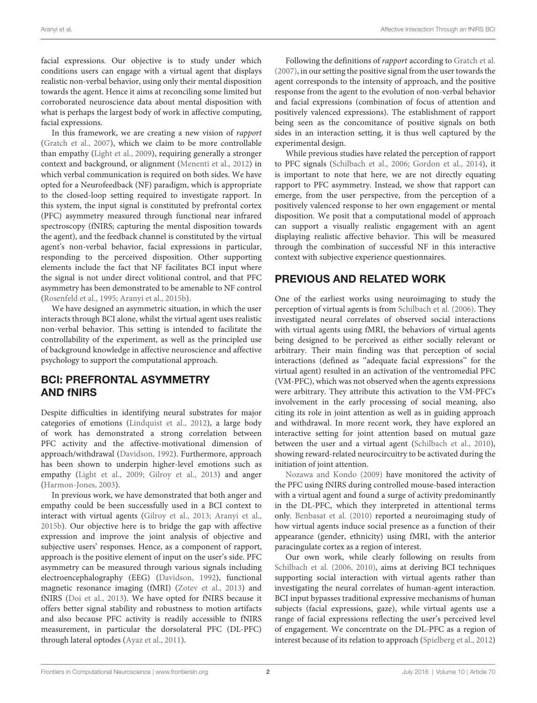facial expressions. Our objective is to study under which conditions users can engage with a virtual agent that displays realistic non-verbal behavior, using only their mental disposition towards the agent. Hence it aims at reconciling some limited but corroborated neuroscience data about mental disposition with what is perhaps the largest body of work in affective computing, facial expressions.

In this framework, we are creating a new vision of rapport [\(Gratch et al., 2007\)](#page-12-0), which we claim to be more controllable than empathy [\(Light et al., 2009\)](#page-13-3), requiring generally a stronger context and background, or alignment [\(Menenti et al., 2012\)](#page-13-4) in which verbal communication is required on both sides. We have opted for a Neurofeedback (NF) paradigm, which is appropriate to the closed-loop setting required to investigate rapport. In this system, the input signal is constituted by prefrontal cortex (PFC) asymmetry measured through functional near infrared spectroscopy (fNIRS; capturing the mental disposition towards the agent), and the feedback channel is constituted by the virtual agent's non-verbal behavior, facial expressions in particular, responding to the perceived disposition. Other supporting elements include the fact that NF facilitates BCI input where the signal is not under direct volitional control, and that PFC asymmetry has been demonstrated to be amenable to NF control [\(Rosenfeld et al., 1995;](#page-13-5) [Aranyi et al., 2015b\)](#page-12-1).

We have designed an asymmetric situation, in which the user interacts through BCI alone, whilst the virtual agent uses realistic non-verbal behavior. This setting is intended to facilitate the controllability of the experiment, as well as the principled use of background knowledge in affective neuroscience and affective psychology to support the computational approach.

#### BCI: PREFRONTAL ASYMMETRY AND fNIRS

Despite difficulties in identifying neural substrates for major categories of emotions [\(Lindquist et al., 2012\)](#page-13-1), a large body of work has demonstrated a strong correlation between PFC activity and the affective-motivational dimension of approach/withdrawal [\(Davidson, 1992\)](#page-12-2). Furthermore, approach has been shown to underpin higher-level emotions such as empathy [\(Light et al., 2009;](#page-13-3) [Gilroy et al., 2013\)](#page-12-3) and anger [\(Harmon-Jones, 2003\)](#page-13-6).

<span id="page-2-0"></span>In previous work, we have demonstrated that both anger and empathy could be been successfully used in a BCI context to interact with virtual agents [\(Gilroy et al., 2013;](#page-12-3) [Aranyi et al.,](#page-12-1) [2015b\)](#page-12-1). Our objective here is to bridge the gap with affective expression and improve the joint analysis of objective and subjective users' responses. Hence, as a component of rapport, approach is the positive element of input on the user's side. PFC asymmetry can be measured through various signals including electroencephalography (EEG) [\(Davidson, 1992\)](#page-12-2), functional magnetic resonance imaging (fMRI) [\(Zotev et al., 2013\)](#page-13-7) and fNIRS [\(Doi et al., 2013\)](#page-12-4). We have opted for fNIRS because it offers better signal stability and robustness to motion artifacts and also because PFC activity is readily accessible to fNIRS measurement, in particular the dorsolateral PFC (DL-PFC) through lateral optodes [\(Ayaz et al., 2011\)](#page-12-5).

Following the definitions of rapport according to [Gratch et al.](#page-12-0) [\(2007\)](#page-12-0), in our setting the positive signal from the user towards the agent corresponds to the intensity of approach, and the positive response from the agent to the evolution of non-verbal behavior and facial expressions (combination of focus of attention and positively valenced expressions). The establishment of rapport being seen as the concomitance of positive signals on both sides in an interaction setting, it is thus well captured by the experimental design.

While previous studies have related the perception of rapport to PFC signals [\(Schilbach et al., 2006;](#page-13-8) [Gordon et al., 2014\)](#page-12-6), it is important to note that here, we are not directly equating rapport to PFC asymmetry. Instead, we show that rapport can emerge, from the user perspective, from the perception of a positively valenced response to her own engagement or mental disposition. We posit that a computational model of approach can support a visually realistic engagement with an agent displaying realistic affective behavior. This will be measured through the combination of successful NF in this interactive context with subjective experience questionnaires.

#### PREVIOUS AND RELATED WORK

One of the earliest works using neuroimaging to study the perception of virtual agents is from [Schilbach et al. \(2006\)](#page-13-8). They investigated neural correlates of observed social interactions with virtual agents using fMRI, the behaviors of virtual agents being designed to be perceived as either socially relevant or arbitrary. Their main finding was that perception of social interactions (defined as ''adequate facial expressions'' for the virtual agent) resulted in an activation of the ventromedial PFC (VM-PFC), which was not observed when the agents expressions were arbitrary. They attribute this activation to the VM-PFC's involvement in the early processing of social meaning, also citing its role in joint attention as well as in guiding approach and withdrawal. In more recent work, they have explored an interactive setting for joint attention based on mutual gaze between the user and a virtual agent [\(Schilbach et al., 2010\)](#page-13-9), showing reward-related neurocircuitry to be activated during the initiation of joint attention.

[Nozawa and Kondo \(2009\)](#page-13-10) have monitored the activity of the PFC using fNIRS during controlled mouse-based interaction with a virtual agent and found a surge of activity predominantly in the DL-PFC, which they interpreted in attentional terms only. [Benbasat et al. \(2010\)](#page-12-7) reported a neuroimaging study of how virtual agents induce social presence as a function of their appearance (gender, ethnicity) using fMRI, with the anterior paracingulate cortex as a region of interest.

Our own work, while clearly following on results from [Schilbach et al. \(2006,](#page-13-8) [2010\)](#page-13-9), aims at deriving BCI techniques supporting social interaction with virtual agents rather than investigating the neural correlates of human-agent interaction. BCI input bypasses traditional expressive mechanisms of human subjects (facial expressions, gaze), while virtual agents use a range of facial expressions reflecting the user's perceived level of engagement. We concentrate on the DL-PFC as a region of interest because of its relation to approach [\(Spielberg et al., 2012\)](#page-13-11)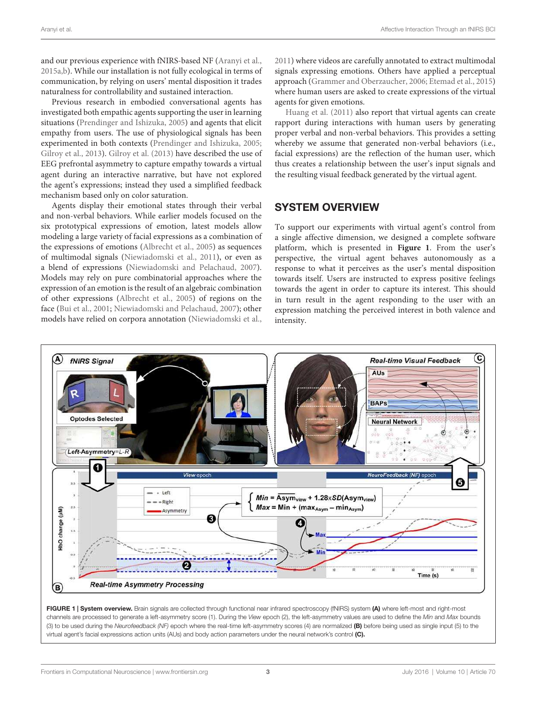and our previous experience with fNIRS-based NF [\(Aranyi et al.,](#page-12-8) [2015a,](#page-12-8)[b\)](#page-12-1). While our installation is not fully ecological in terms of communication, by relying on users' mental disposition it trades naturalness for controllability and sustained interaction.

Previous research in embodied conversational agents has investigated both empathic agents supporting the user in learning situations [\(Prendinger and Ishizuka, 2005\)](#page-13-12) and agents that elicit empathy from users. The use of physiological signals has been experimented in both contexts [\(Prendinger and Ishizuka, 2005;](#page-13-12) [Gilroy et al., 2013\)](#page-12-3). [Gilroy et al. \(2013\)](#page-12-3) have described the use of EEG prefrontal asymmetry to capture empathy towards a virtual agent during an interactive narrative, but have not explored the agent's expressions; instead they used a simplified feedback mechanism based only on color saturation.

Agents display their emotional states through their verbal and non-verbal behaviors. While earlier models focused on the six prototypical expressions of emotion, latest models allow modeling a large variety of facial expressions as a combination of the expressions of emotions [\(Albrecht et al., 2005\)](#page-12-9) as sequences of multimodal signals [\(Niewiadomski et al., 2011\)](#page-13-13), or even as a blend of expressions [\(Niewiadomski and Pelachaud, 2007\)](#page-13-14). Models may rely on pure combinatorial approaches where the expression of an emotion is the result of an algebraic combination of other expressions [\(Albrecht et al., 2005\)](#page-12-9) of regions on the face [\(Bui et al., 2001;](#page-12-10) [Niewiadomski and Pelachaud, 2007\)](#page-13-14); other models have relied on corpora annotation [\(Niewiadomski et al.,](#page-13-13) [2011\)](#page-13-13) where videos are carefully annotated to extract multimodal signals expressing emotions. Others have applied a perceptual approach [\(Grammer and Oberzaucher, 2006;](#page-12-11) [Etemad et al., 2015\)](#page-12-12) where human users are asked to create expressions of the virtual agents for given emotions.

[Huang et al. \(2011\)](#page-13-15) also report that virtual agents can create rapport during interactions with human users by generating proper verbal and non-verbal behaviors. This provides a setting whereby we assume that generated non-verbal behaviors (i.e., facial expressions) are the reflection of the human user, which thus creates a relationship between the user's input signals and the resulting visual feedback generated by the virtual agent.

#### SYSTEM OVERVIEW

To support our experiments with virtual agent's control from a single affective dimension, we designed a complete software platform, which is presented in **[Figure 1](#page-2-0)**. From the user's perspective, the virtual agent behaves autonomously as a response to what it perceives as the user's mental disposition towards itself. Users are instructed to express positive feelings towards the agent in order to capture its interest. This should in turn result in the agent responding to the user with an expression matching the perceived interest in both valence and intensity.



FIGURE 1 | System overview. Brain signals are collected through functional near infrared spectroscopy (fNIRS) system (A) where left-most and right-most channels are processed to generate a left-asymmetry score (1). During the *View* epoch (2), the left-asymmetry values are used to define the *Min* and *Max* bounds (3) to be used during the *Neurofeedback (NF)* epoch where the real-time left-asymmetry scores (4) are normalized (B) before being used as single input (5) to the virtual agent's facial expressions action units (AUs) and body action parameters under the neural network's control (C).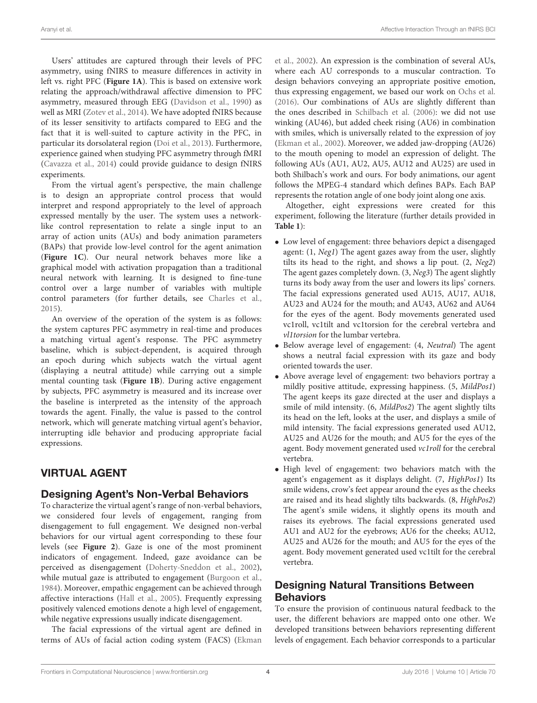Users' attitudes are captured through their levels of PFC asymmetry, using fNIRS to measure differences in activity in left vs. right PFC (**[Figure 1A](#page-2-0)**). This is based on extensive work relating the approach/withdrawal affective dimension to PFC asymmetry, measured through EEG [\(Davidson et al., 1990\)](#page-12-13) as well as MRI [\(Zotev et al., 2014\)](#page-13-16). We have adopted fNIRS because of its lesser sensitivity to artifacts compared to EEG and the fact that it is well-suited to capture activity in the PFC, in particular its dorsolateral region [\(Doi et al., 2013\)](#page-12-4). Furthermore, experience gained when studying PFC asymmetry through fMRI [\(Cavazza et al., 2014\)](#page-12-14) could provide guidance to design fNIRS experiments.

From the virtual agent's perspective, the main challenge is to design an appropriate control process that would interpret and respond appropriately to the level of approach expressed mentally by the user. The system uses a networklike control representation to relate a single input to an array of action units (AUs) and body animation parameters (BAPs) that provide low-level control for the agent animation (**[Figure 1C](#page-2-0)**). Our neural network behaves more like a graphical model with activation propagation than a traditional neural network with learning. It is designed to fine-tune control over a large number of variables with multiple control parameters (for further details, see [Charles et al.,](#page-12-15) [2015\)](#page-12-15).

An overview of the operation of the system is as follows: the system captures PFC asymmetry in real-time and produces a matching virtual agent's response. The PFC asymmetry baseline, which is subject-dependent, is acquired through an epoch during which subjects watch the virtual agent (displaying a neutral attitude) while carrying out a simple mental counting task (**[Figure 1B](#page-2-0)**). During active engagement by subjects, PFC asymmetry is measured and its increase over the baseline is interpreted as the intensity of the approach towards the agent. Finally, the value is passed to the control network, which will generate matching virtual agent's behavior, interrupting idle behavior and producing appropriate facial expressions.

#### VIRTUAL AGENT

#### Designing Agent's Non-Verbal Behaviors

<span id="page-4-0"></span>To characterize the virtual agent's range of non-verbal behaviors, we considered four levels of engagement, ranging from disengagement to full engagement. We designed non-verbal behaviors for our virtual agent corresponding to these four levels (see **[Figure 2](#page-4-0)**). Gaze is one of the most prominent indicators of engagement. Indeed, gaze avoidance can be perceived as disengagement [\(Doherty-Sneddon et al., 2002\)](#page-12-16), while mutual gaze is attributed to engagement [\(Burgoon et al.,](#page-12-17) [1984\)](#page-12-17). Moreover, empathic engagement can be achieved through affective interactions [\(Hall et al., 2005\)](#page-12-18). Frequently expressing positively valenced emotions denote a high level of engagement, while negative expressions usually indicate disengagement.

The facial expressions of the virtual agent are defined in terms of AUs of facial action coding system (FACS) [\(Ekman](#page-12-19) [et al., 2002\)](#page-12-19). An expression is the combination of several AUs, where each AU corresponds to a muscular contraction. To design behaviors conveying an appropriate positive emotion, thus expressing engagement, we based our work on [Ochs et al.](#page-13-17) [\(2016\)](#page-13-17). Our combinations of AUs are slightly different than the ones described in [Schilbach et al. \(2006\)](#page-13-8): we did not use winking (AU46), but added cheek rising (AU6) in combination with smiles, which is universally related to the expression of joy [\(Ekman et al., 2002\)](#page-12-19). Moreover, we added jaw-dropping (AU26) to the mouth opening to model an expression of delight. The following AUs (AU1, AU2, AU5, AU12 and AU25) are used in both Shilbach's work and ours. For body animations, our agent follows the MPEG-4 standard which defines BAPs. Each BAP represents the rotation angle of one body joint along one axis.

Altogether, eight expressions were created for this experiment, following the literature (further details provided in **[Table 1](#page-5-0)**):

- Low level of engagement: three behaviors depict a disengaged agent: (1, Neg1) The agent gazes away from the user, slightly tilts its head to the right, and shows a lip pout. (2, Neg2) The agent gazes completely down. (3, Neg3) The agent slightly turns its body away from the user and lowers its lips' corners. The facial expressions generated used AU15, AU17, AU18, AU23 and AU24 for the mouth; and AU43, AU62 and AU64 for the eyes of the agent. Body movements generated used vc1roll, vc1tilt and vc1torsion for the cerebral vertebra and vl1torsion for the lumbar vertebra.
- Below average level of engagement: (4, Neutral) The agent shows a neutral facial expression with its gaze and body oriented towards the user.
- Above average level of engagement: two behaviors portray a mildly positive attitude, expressing happiness. (5, MildPos1) The agent keeps its gaze directed at the user and displays a smile of mild intensity. (6, MildPos2) The agent slightly tilts its head on the left, looks at the user, and displays a smile of mild intensity. The facial expressions generated used AU12, AU25 and AU26 for the mouth; and AU5 for the eyes of the agent. Body movement generated used vc1roll for the cerebral vertebra.
- High level of engagement: two behaviors match with the agent's engagement as it displays delight. (7, HighPos1) Its smile widens, crow's feet appear around the eyes as the cheeks are raised and its head slightly tilts backwards. (8, HighPos2) The agent's smile widens, it slightly opens its mouth and raises its eyebrows. The facial expressions generated used AU1 and AU2 for the eyebrows; AU6 for the cheeks; AU12, AU25 and AU26 for the mouth; and AU5 for the eyes of the agent. Body movement generated used vc1tilt for the cerebral vertebra.

#### Designing Natural Transitions Between **Behaviors**

To ensure the provision of continuous natural feedback to the user, the different behaviors are mapped onto one other. We developed transitions between behaviors representing different levels of engagement. Each behavior corresponds to a particular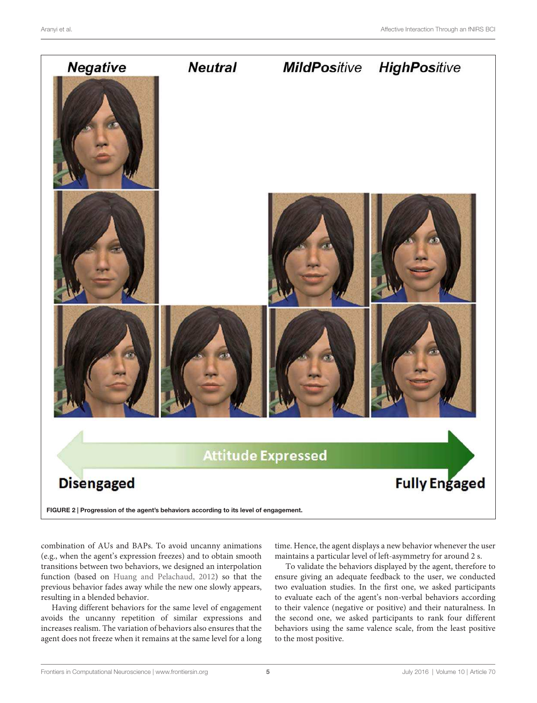<span id="page-5-0"></span>

FIGURE 2 | Progression of the agent's behaviors according to its level of engagement.

combination of AUs and BAPs. To avoid uncanny animations (e.g., when the agent's expression freezes) and to obtain smooth transitions between two behaviors, we designed an interpolation function (based on [Huang and Pelachaud, 2012\)](#page-13-18) so that the previous behavior fades away while the new one slowly appears, resulting in a blended behavior.

Having different behaviors for the same level of engagement avoids the uncanny repetition of similar expressions and increases realism. The variation of behaviors also ensures that the agent does not freeze when it remains at the same level for a long

<span id="page-5-1"></span>time. Hence, the agent displays a new behavior whenever the user maintains a particular level of left-asymmetry for around 2 s.

To validate the behaviors displayed by the agent, therefore to ensure giving an adequate feedback to the user, we conducted two evaluation studies. In the first one, we asked participants to evaluate each of the agent's non-verbal behaviors according to their valence (negative or positive) and their naturalness. In the second one, we asked participants to rank four different behaviors using the same valence scale, from the least positive to the most positive.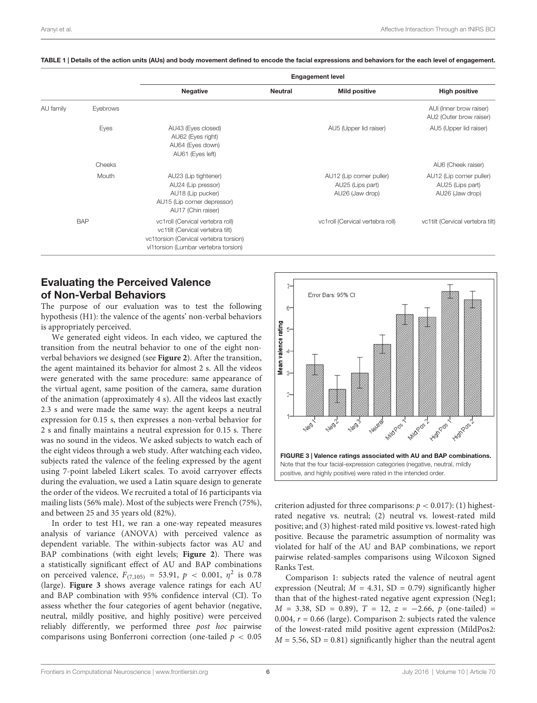|           |            | <b>Engagement level</b>                                                                                                                                |                |                                                                 |                                                                 |
|-----------|------------|--------------------------------------------------------------------------------------------------------------------------------------------------------|----------------|-----------------------------------------------------------------|-----------------------------------------------------------------|
|           |            | <b>Negative</b>                                                                                                                                        | <b>Neutral</b> | <b>Mild positive</b>                                            | <b>High positive</b>                                            |
| AU family | Eyebrows   |                                                                                                                                                        |                |                                                                 | AUI (Inner brow raiser)<br>AU2 (Outer brow raiser)              |
|           | Eyes       | AU43 (Eyes closed)<br>AU62 (Eyes right)<br>AU64 (Eyes down)<br>AU61 (Eyes left)                                                                        |                | AU5 (Upper lid raiser)                                          | AU5 (Upper lid raiser)                                          |
|           | Cheeks     |                                                                                                                                                        |                |                                                                 | AU6 (Cheek raiser)                                              |
|           | Mouth      | AU23 (Lip tightener)<br>AU24 (Lip pressor)<br>AU18 (Lip pucker)<br>AU15 (Lip corner depressor)<br>AU17 (Chin raiser)                                   |                | AU12 (Lip corner puller)<br>AU25 (Lips part)<br>AU26 (Jaw drop) | AU12 (Lip corner puller)<br>AU25 (Lips part)<br>AU26 (Jaw drop) |
|           | <b>BAP</b> | vc1roll (Cervical vertebra roll)<br>vc1tilt (Cervical vertebra tilt)<br>vc1torsion (Cervical vertebra torsion)<br>vl1torsion (Lumbar vertebra torsion) |                | vc1roll (Cervical vertebra roll)                                | vc1tilt (Cervical vertebra tilt)                                |

#### TABLE 1 | Details of the action units (AUs) and body movement defined to encode the facial expressions and behaviors for the each level of engagement.

#### Evaluating the Perceived Valence of Non-Verbal Behaviors

The purpose of our evaluation was to test the following hypothesis (H1): the valence of the agents' non-verbal behaviors is appropriately perceived.

We generated eight videos. In each video, we captured the transition from the neutral behavior to one of the eight nonverbal behaviors we designed (see **[Figure 2](#page-4-0)**). After the transition, the agent maintained its behavior for almost 2 s. All the videos were generated with the same procedure: same appearance of the virtual agent, same position of the camera, same duration of the animation (approximately 4 s). All the videos last exactly 2.3 s and were made the same way: the agent keeps a neutral expression for 0.15 s, then expresses a non-verbal behavior for 2 s and finally maintains a neutral expression for 0.15 s. There was no sound in the videos. We asked subjects to watch each of the eight videos through a web study. After watching each video, subjects rated the valence of the feeling expressed by the agent using 7-point labeled Likert scales. To avoid carryover effects during the evaluation, we used a Latin square design to generate the order of the videos. We recruited a total of 16 participants via mailing lists (56% male). Most of the subjects were French (75%), and between 25 and 35 years old (82%).

In order to test H1, we ran a one-way repeated measures analysis of variance (ANOVA) with perceived valence as dependent variable. The within-subjects factor was AU and BAP combinations (with eight levels; **[Figure 2](#page-4-0)**). There was a statistically significant effect of AU and BAP combinations on perceived valence,  $F_{(7,105)} = 53.91, p < 0.001, \eta^2$  is 0.78 (large). **[Figure 3](#page-5-1)** shows average valence ratings for each AU and BAP combination with 95% confidence interval (CI). To assess whether the four categories of agent behavior (negative, neutral, mildly positive, and highly positive) were perceived reliably differently, we performed three post hoc pairwise comparisons using Bonferroni correction (one-tailed  $p < 0.05$ 



criterion adjusted for three comparisons:  $p < 0.017$ ): (1) highestrated negative vs. neutral; (2) neutral vs. lowest-rated mild positive; and (3) highest-rated mild positive vs. lowest-rated high positive. Because the parametric assumption of normality was violated for half of the AU and BAP combinations, we report pairwise related-samples comparisons using Wilcoxon Signed Ranks Test.

Comparison 1: subjects rated the valence of neutral agent expression (Neutral;  $M = 4.31$ , SD = 0.79) significantly higher than that of the highest-rated negative agent expression (Neg1;  $M = 3.38$ , SD = 0.89),  $T = 12$ ,  $z = -2.66$ , p (one-tailed) = 0.004,  $r = 0.66$  (large). Comparison 2: subjects rated the valence of the lowest-rated mild positive agent expression (MildPos2:  $M = 5.56$ , SD = 0.81) significantly higher than the neutral agent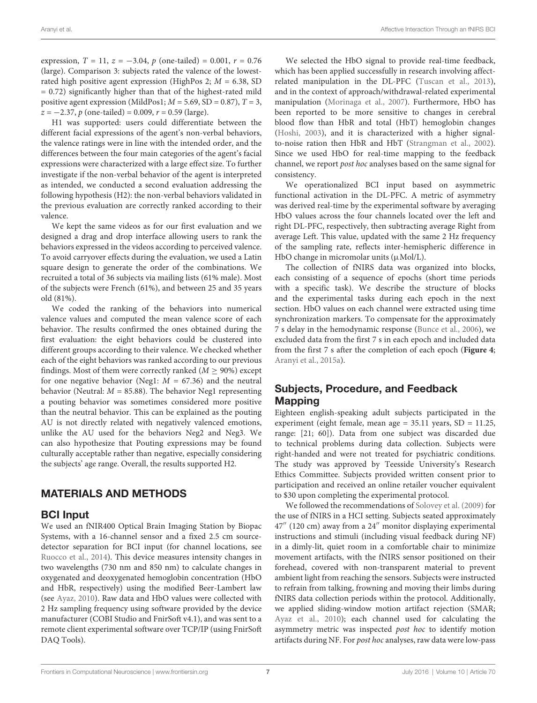expression,  $T = 11$ ,  $z = -3.04$ ,  $p$  (one-tailed) = 0.001,  $r = 0.76$ (large). Comparison 3: subjects rated the valence of the lowestrated high positive agent expression (HighPos 2;  $M = 6.38$ , SD = 0.72) significantly higher than that of the highest-rated mild positive agent expression (MildPos1;  $M = 5.69$ , SD = 0.87),  $T = 3$ ,  $z = -2.37$ , p (one-tailed) = 0.009, r = 0.59 (large).

<span id="page-7-0"></span>H1 was supported: users could differentiate between the different facial expressions of the agent's non-verbal behaviors, the valence ratings were in line with the intended order, and the differences between the four main categories of the agent's facial expressions were characterized with a large effect size. To further investigate if the non-verbal behavior of the agent is interpreted as intended, we conducted a second evaluation addressing the following hypothesis (H2): the non-verbal behaviors validated in the previous evaluation are correctly ranked according to their valence.

We kept the same videos as for our first evaluation and we designed a drag and drop interface allowing users to rank the behaviors expressed in the videos according to perceived valence. To avoid carryover effects during the evaluation, we used a Latin square design to generate the order of the combinations. We recruited a total of 36 subjects via mailing lists (61% male). Most of the subjects were French (61%), and between 25 and 35 years old (81%).

We coded the ranking of the behaviors into numerical valence values and computed the mean valence score of each behavior. The results confirmed the ones obtained during the first evaluation: the eight behaviors could be clustered into different groups according to their valence. We checked whether each of the eight behaviors was ranked according to our previous findings. Most of them were correctly ranked ( $M \ge 90\%$ ) except for one negative behavior (Neg1:  $M = 67.36$ ) and the neutral behavior (Neutral:  $M = 85.88$ ). The behavior Neg1 representing a pouting behavior was sometimes considered more positive than the neutral behavior. This can be explained as the pouting AU is not directly related with negatively valenced emotions, unlike the AU used for the behaviors Neg2 and Neg3. We can also hypothesize that Pouting expressions may be found culturally acceptable rather than negative, especially considering the subjects' age range. Overall, the results supported H2.

#### MATERIALS AND METHODS

#### BCI Input

We used an fNIR400 Optical Brain Imaging Station by Biopac Systems, with a 16-channel sensor and a fixed 2.5 cm sourcedetector separation for BCI input (for channel locations, see [Ruocco et al., 2014\)](#page-13-19). This device measures intensity changes in two wavelengths (730 nm and 850 nm) to calculate changes in oxygenated and deoxygenated hemoglobin concentration (HbO and HbR, respectively) using the modified Beer-Lambert law (see [Ayaz, 2010\)](#page-12-20). Raw data and HbO values were collected with 2 Hz sampling frequency using software provided by the device manufacturer (COBI Studio and FnirSoft v4.1), and was sent to a remote client experimental software over TCP/IP (using FnirSoft DAQ Tools).

We selected the HbO signal to provide real-time feedback, which has been applied successfully in research involving affectrelated manipulation in the DL-PFC [\(Tuscan et al., 2013\)](#page-13-20), and in the context of approach/withdrawal-related experimental manipulation [\(Morinaga et al., 2007\)](#page-13-21). Furthermore, HbO has been reported to be more sensitive to changes in cerebral blood flow than HbR and total (HbT) hemoglobin changes [\(Hoshi, 2003\)](#page-13-22), and it is characterized with a higher signalto-noise ration then HbR and HbT [\(Strangman et al., 2002\)](#page-13-23). Since we used HbO for real-time mapping to the feedback channel, we report post hoc analyses based on the same signal for consistency.

We operationalized BCI input based on asymmetric functional activation in the DL-PFC. A metric of asymmetry was derived real-time by the experimental software by averaging HbO values across the four channels located over the left and right DL-PFC, respectively, then subtracting average Right from average Left. This value, updated with the same 2 Hz frequency of the sampling rate, reflects inter-hemispheric difference in HbO change in micromolar units  $(\mu \text{Mol/L})$ .

The collection of fNIRS data was organized into blocks, each consisting of a sequence of epochs (short time periods with a specific task). We describe the structure of blocks and the experimental tasks during each epoch in the next section. HbO values on each channel were extracted using time synchronization markers. To compensate for the approximately 7 s delay in the hemodynamic response [\(Bunce et al., 2006\)](#page-12-21), we excluded data from the first 7 s in each epoch and included data from the first 7 s after the completion of each epoch (**[Figure 4](#page-7-0)**; [Aranyi et al., 2015a\)](#page-12-8).

#### Subjects, Procedure, and Feedback Mapping

Eighteen english-speaking adult subjects participated in the experiment (eight female, mean age = 35.11 years, SD = 11.25, range: [21; 60]). Data from one subject was discarded due to technical problems during data collection. Subjects were right-handed and were not treated for psychiatric conditions. The study was approved by Teesside University's Research Ethics Committee. Subjects provided written consent prior to participation and received an online retailer voucher equivalent to \$30 upon completing the experimental protocol.

We followed the recommendations of [Solovey et al. \(2009\)](#page-13-24) for the use of fNIRS in a HCI setting. Subjects seated approximately 47′′ (120 cm) away from a 24′′ monitor displaying experimental instructions and stimuli (including visual feedback during NF) in a dimly-lit, quiet room in a comfortable chair to minimize movement artifacts, with the fNIRS sensor positioned on their forehead, covered with non-transparent material to prevent ambient light from reaching the sensors. Subjects were instructed to refrain from talking, frowning and moving their limbs during fNIRS data collection periods within the protocol. Additionally, we applied sliding-window motion artifact rejection (SMAR; [Ayaz et al., 2010\)](#page-12-22); each channel used for calculating the asymmetry metric was inspected post hoc to identify motion artifacts during NF. For post hoc analyses, raw data were low-pass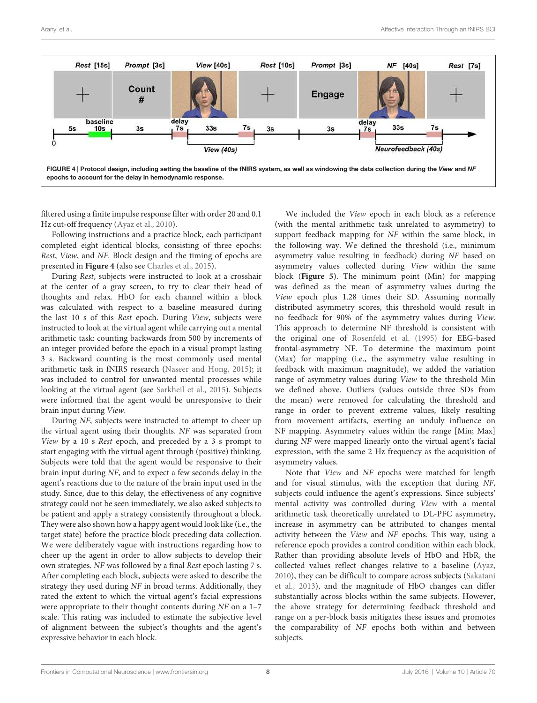

filtered using a finite impulse response filter with order 20 and 0.1 Hz cut-off frequency [\(Ayaz et al., 2010\)](#page-12-22).

<span id="page-8-0"></span>Following instructions and a practice block, each participant completed eight identical blocks, consisting of three epochs: Rest, View, and NF. Block design and the timing of epochs are presented in **[Figure 4](#page-7-0)** (also see [Charles et al., 2015\)](#page-12-15).

During Rest, subjects were instructed to look at a crosshair at the center of a gray screen, to try to clear their head of thoughts and relax. HbO for each channel within a block was calculated with respect to a baseline measured during the last 10 s of this Rest epoch. During View, subjects were instructed to look at the virtual agent while carrying out a mental arithmetic task: counting backwards from 500 by increments of an integer provided before the epoch in a visual prompt lasting 3 s. Backward counting is the most commonly used mental arithmetic task in fNIRS research [\(Naseer and Hong, 2015\)](#page-13-25); it was included to control for unwanted mental processes while looking at the virtual agent (see [Sarkheil et al., 2015\)](#page-13-26). Subjects were informed that the agent would be unresponsive to their brain input during View.

During NF, subjects were instructed to attempt to cheer up the virtual agent using their thoughts. NF was separated from View by a 10 s Rest epoch, and preceded by a 3 s prompt to start engaging with the virtual agent through (positive) thinking. Subjects were told that the agent would be responsive to their brain input during NF, and to expect a few seconds delay in the agent's reactions due to the nature of the brain input used in the study. Since, due to this delay, the effectiveness of any cognitive strategy could not be seen immediately, we also asked subjects to be patient and apply a strategy consistently throughout a block. They were also shown how a happy agent would look like (i.e., the target state) before the practice block preceding data collection. We were deliberately vague with instructions regarding how to cheer up the agent in order to allow subjects to develop their own strategies. NF was followed by a final Rest epoch lasting 7 s. After completing each block, subjects were asked to describe the strategy they used during NF in broad terms. Additionally, they rated the extent to which the virtual agent's facial expressions were appropriate to their thought contents during NF on a 1–7 scale. This rating was included to estimate the subjective level of alignment between the subject's thoughts and the agent's expressive behavior in each block.

We included the View epoch in each block as a reference (with the mental arithmetic task unrelated to asymmetry) to support feedback mapping for NF within the same block, in the following way. We defined the threshold (i.e., minimum asymmetry value resulting in feedback) during NF based on asymmetry values collected during View within the same block (**[Figure 5](#page-8-0)**). The minimum point (Min) for mapping was defined as the mean of asymmetry values during the View epoch plus 1.28 times their SD. Assuming normally distributed asymmetry scores, this threshold would result in no feedback for 90% of the asymmetry values during View. This approach to determine NF threshold is consistent with the original one of [Rosenfeld et al. \(1995\)](#page-13-5) for EEG-based frontal-asymmetry NF. To determine the maximum point (Max) for mapping (i.e., the asymmetry value resulting in feedback with maximum magnitude), we added the variation range of asymmetry values during View to the threshold Min we defined above. Outliers (values outside three SDs from the mean) were removed for calculating the threshold and range in order to prevent extreme values, likely resulting from movement artifacts, exerting an unduly influence on NF mapping. Asymmetry values within the range [Min; Max] during NF were mapped linearly onto the virtual agent's facial expression, with the same 2 Hz frequency as the acquisition of asymmetry values.

<span id="page-8-1"></span>Note that View and NF epochs were matched for length and for visual stimulus, with the exception that during NF, subjects could influence the agent's expressions. Since subjects' mental activity was controlled during View with a mental arithmetic task theoretically unrelated to DL-PFC asymmetry, increase in asymmetry can be attributed to changes mental activity between the View and NF epochs. This way, using a reference epoch provides a control condition within each block. Rather than providing absolute levels of HbO and HbR, the collected values reflect changes relative to a baseline [\(Ayaz,](#page-12-20) [2010\)](#page-12-20), they can be difficult to compare across subjects [\(Sakatani](#page-13-27) [et al., 2013\)](#page-13-27), and the magnitude of HbO changes can differ substantially across blocks within the same subjects. However, the above strategy for determining feedback threshold and range on a per-block basis mitigates these issues and promotes the comparability of NF epochs both within and between subjects.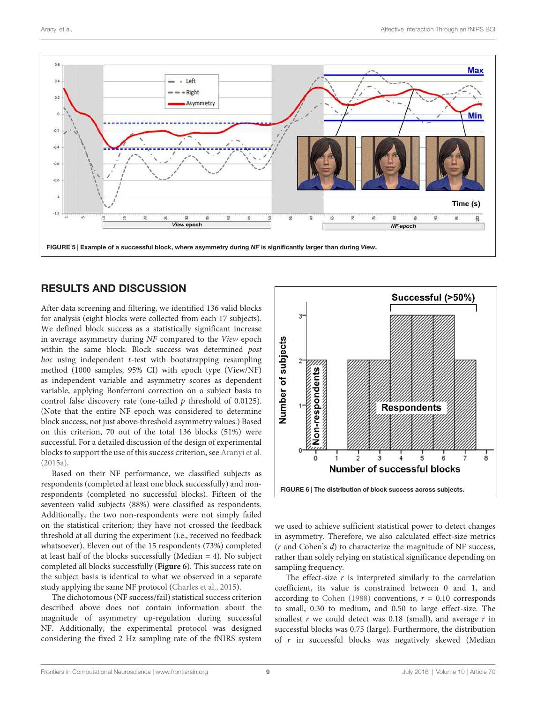

#### <span id="page-9-0"></span>RESULTS AND DISCUSSION

After data screening and filtering, we identified 136 valid blocks for analysis (eight blocks were collected from each 17 subjects). We defined block success as a statistically significant increase in average asymmetry during NF compared to the View epoch within the same block. Block success was determined post  $hoc$  using independent  $t$ -test with bootstrapping resampling method (1000 samples, 95% CI) with epoch type (View/NF) as independent variable and asymmetry scores as dependent variable, applying Bonferroni correction on a subject basis to control false discovery rate (one-tailed  $p$  threshold of 0.0125). (Note that the entire NF epoch was considered to determine block success, not just above-threshold asymmetry values.) Based on this criterion, 70 out of the total 136 blocks (51%) were successful. For a detailed discussion of the design of experimental blocks to support the use of this success criterion, see [Aranyi et al.](#page-12-8) [\(2015a\)](#page-12-8).

Based on their NF performance, we classified subjects as respondents (completed at least one block successfully) and nonrespondents (completed no successful blocks). Fifteen of the seventeen valid subjects (88%) were classified as respondents. Additionally, the two non-respondents were not simply failed on the statistical criterion; they have not crossed the feedback threshold at all during the experiment (i.e., received no feedback whatsoever). Eleven out of the 15 respondents (73%) completed at least half of the blocks successfully (Median = 4). No subject completed all blocks successfully (**[Figure 6](#page-8-1)**). This success rate on the subject basis is identical to what we observed in a separate study applying the same NF protocol [\(Charles et al., 2015\)](#page-12-15).

The dichotomous (NF success/fail) statistical success criterion described above does not contain information about the magnitude of asymmetry up-regulation during successful NF. Additionally, the experimental protocol was designed considering the fixed 2 Hz sampling rate of the fNIRS system

<span id="page-9-1"></span>

we used to achieve sufficient statistical power to detect changes in asymmetry. Therefore, we also calculated effect-size metrics  $(r$  and Cohen's  $d$ ) to characterize the magnitude of NF success, rather than solely relying on statistical significance depending on sampling frequency.

The effect-size  $r$  is interpreted similarly to the correlation coefficient, its value is constrained between 0 and 1, and according to [Cohen \(1988\)](#page-12-23) conventions,  $r = 0.10$  corresponds to small, 0.30 to medium, and 0.50 to large effect-size. The smallest  $r$  we could detect was 0.18 (small), and average  $r$  in successful blocks was 0.75 (large). Furthermore, the distribution of r in successful blocks was negatively skewed (Median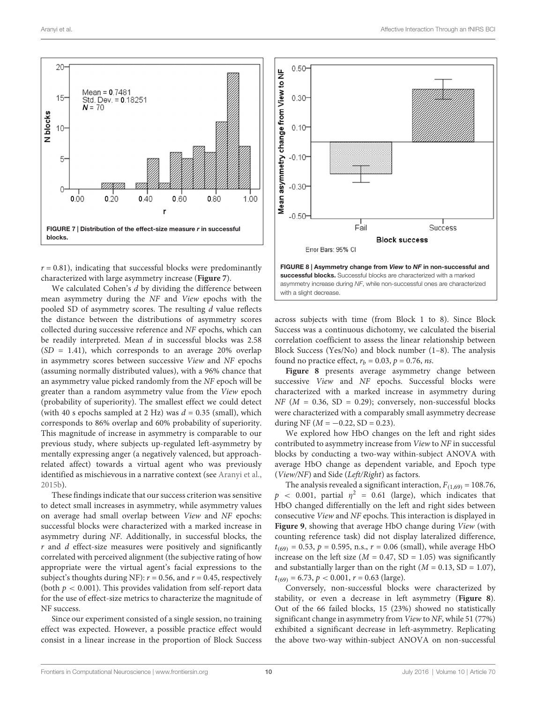

<span id="page-10-0"></span> $r = 0.81$ ), indicating that successful blocks were predominantly characterized with large asymmetry increase (**[Figure 7](#page-9-0)**).

We calculated Cohen's d by dividing the difference between mean asymmetry during the NF and View epochs with the pooled SD of asymmetry scores. The resulting d value reflects the distance between the distributions of asymmetry scores collected during successive reference and NF epochs, which can be readily interpreted. Mean  $d$  in successful blocks was 2.58  $(SD = 1.41)$ , which corresponds to an average 20% overlap in asymmetry scores between successive View and NF epochs (assuming normally distributed values), with a 96% chance that an asymmetry value picked randomly from the NF epoch will be greater than a random asymmetry value from the View epoch (probability of superiority). The smallest effect we could detect (with 40 s epochs sampled at 2 Hz) was  $d = 0.35$  (small), which corresponds to 86% overlap and 60% probability of superiority. This magnitude of increase in asymmetry is comparable to our previous study, where subjects up-regulated left-asymmetry by mentally expressing anger (a negatively valenced, but approachrelated affect) towards a virtual agent who was previously identified as mischievous in a narrative context (see [Aranyi et al.,](#page-12-1) [2015b\)](#page-12-1).

These findings indicate that our success criterion was sensitive to detect small increases in asymmetry, while asymmetry values on average had small overlap between View and NF epochs: successful blocks were characterized with a marked increase in asymmetry during NF. Additionally, in successful blocks, the  $r$  and  $d$  effect-size measures were positively and significantly correlated with perceived alignment (the subjective rating of how appropriate were the virtual agent's facial expressions to the subject's thoughts during NF):  $r = 0.56$ , and  $r = 0.45$ , respectively (both  $p < 0.001$ ). This provides validation from self-report data for the use of effect-size metrics to characterize the magnitude of NF success.

<span id="page-10-1"></span>Since our experiment consisted of a single session, no training effect was expected. However, a possible practice effect would consist in a linear increase in the proportion of Block Success



across subjects with time (from Block 1 to 8). Since Block Success was a continuous dichotomy, we calculated the biserial correlation coefficient to assess the linear relationship between Block Success (Yes/No) and block number (1–8). The analysis found no practice effect,  $r_h = 0.03$ ,  $p = 0.76$ , *ns*.

**[Figure 8](#page-9-1)** presents average asymmetry change between successive View and NF epochs. Successful blocks were characterized with a marked increase in asymmetry during  $NF$  ( $M = 0.36$ ,  $SD = 0.29$ ); conversely, non-successful blocks were characterized with a comparably small asymmetry decrease during NF ( $M = -0.22$ , SD = 0.23).

We explored how HbO changes on the left and right sides contributed to asymmetry increase from View to NF in successful blocks by conducting a two-way within-subject ANOVA with average HbO change as dependent variable, and Epoch type (View/NF) and Side (Left/Right) as factors.

The analysis revealed a significant interaction,  $F_{(1,69)} = 108.76$ ,  $p$  < 0.001, partial  $\eta^2$  = 0.61 (large), which indicates that HbO changed differentially on the left and right sides between consecutive View and NF epochs. This interaction is displayed in **[Figure 9](#page-10-0)**, showing that average HbO change during View (with counting reference task) did not display lateralized difference,  $t_{(69)} = 0.53$ ,  $p = 0.595$ , n.s.,  $r = 0.06$  (small), while average HbO increase on the left size ( $M = 0.47$ , SD = 1.05) was significantly and substantially larger than on the right  $(M = 0.13, SD = 1.07)$ ,  $t_{(69)} = 6.73$ ,  $p < 0.001$ ,  $r = 0.63$  (large).

Conversely, non-successful blocks were characterized by stability, or even a decrease in left asymmetry (**[Figure 8](#page-9-1)**). Out of the 66 failed blocks, 15 (23%) showed no statistically significant change in asymmetry from View to NF, while 51 (77%) exhibited a significant decrease in left-asymmetry. Replicating the above two-way within-subject ANOVA on non-successful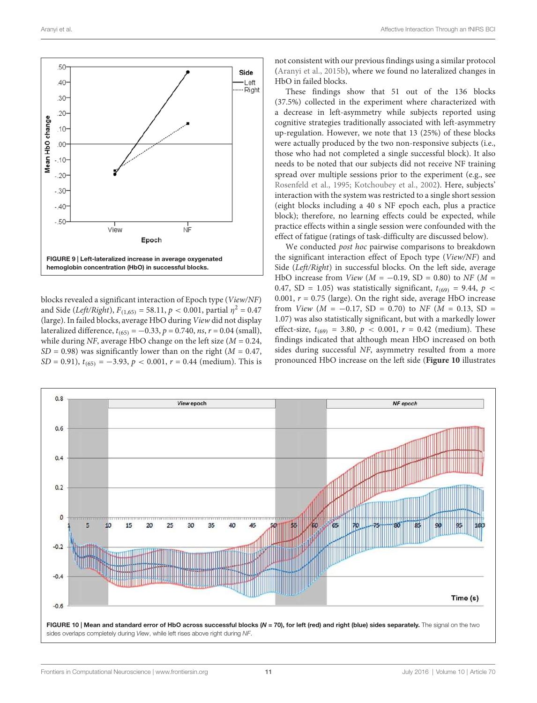

<span id="page-11-0"></span>blocks revealed a significant interaction of Epoch type (View/NF) and Side (*Left/Right*),  $F_{(1,65)} = 58.11$ ,  $p < 0.001$ , partial  $\eta^2 = 0.47$ (large). In failed blocks, average HbO during View did not display lateralized difference,  $t_{(65)} = -0.33$ ,  $p = 0.740$ ,  $ns$ ,  $r = 0.04$  (small), while during NF, average HbO change on the left size ( $M = 0.24$ ,  $SD = 0.98$ ) was significantly lower than on the right ( $M = 0.47$ ,  $SD = 0.91$ ),  $t_{(65)} = -3.93$ ,  $p < 0.001$ ,  $r = 0.44$  (medium). This is

not consistent with our previous findings using a similar protocol [\(Aranyi et al., 2015b\)](#page-12-1), where we found no lateralized changes in HbO in failed blocks.

These findings show that 51 out of the 136 blocks (37.5%) collected in the experiment where characterized with a decrease in left-asymmetry while subjects reported using cognitive strategies traditionally associated with left-asymmetry up-regulation. However, we note that 13 (25%) of these blocks were actually produced by the two non-responsive subjects (i.e., those who had not completed a single successful block). It also needs to be noted that our subjects did not receive NF training spread over multiple sessions prior to the experiment (e.g., see [Rosenfeld et al., 1995;](#page-13-5) [Kotchoubey et al., 2002\)](#page-13-28). Here, subjects' interaction with the system was restricted to a single short session (eight blocks including a 40 s NF epoch each, plus a practice block); therefore, no learning effects could be expected, while practice effects within a single session were confounded with the effect of fatigue (ratings of task-difficulty are discussed below).

We conducted *post hoc* pairwise comparisons to breakdown the significant interaction effect of Epoch type (View/NF) and Side (Left/Right) in successful blocks. On the left side, average HbO increase from *View* ( $M = -0.19$ , SD = 0.80) to NF ( $M =$ 0.47, SD = 1.05) was statistically significant,  $t_{(69)} = 9.44$ ,  $p \le$ 0.001,  $r = 0.75$  (large). On the right side, average HbO increase from View ( $M = -0.17$ , SD = 0.70) to NF ( $M = 0.13$ , SD = 1.07) was also statistically significant, but with a markedly lower effect-size,  $t_{(69)} = 3.80, p < 0.001, r = 0.42$  (medium). These findings indicated that although mean HbO increased on both sides during successful NF, asymmetry resulted from a more pronounced HbO increase on the left side (**[Figure 10](#page-10-1)** illustrates

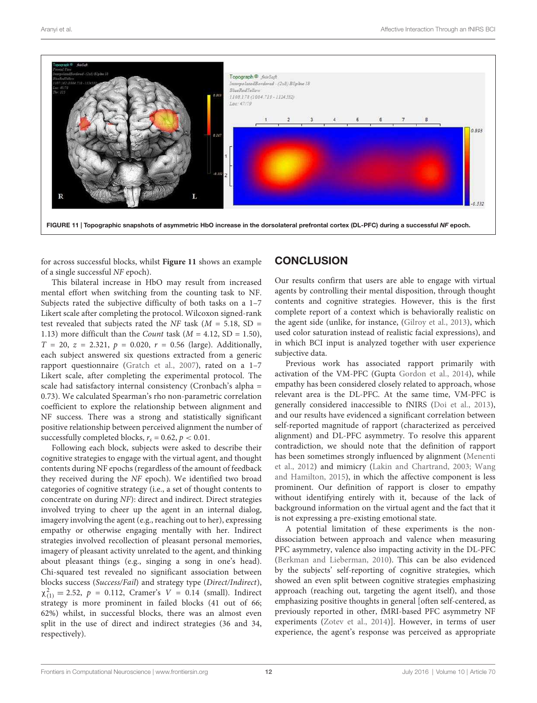

for across successful blocks, whilst **[Figure 11](#page-11-0)** shows an example of a single successful NF epoch).

<span id="page-12-9"></span><span id="page-12-8"></span><span id="page-12-1"></span>This bilateral increase in HbO may result from increased mental effort when switching from the counting task to NF. Subjects rated the subjective difficulty of both tasks on a 1–7 Likert scale after completing the protocol. Wilcoxon signed-rank test revealed that subjects rated the NF task ( $M = 5.18$ , SD = 1.13) more difficult than the *Count* task  $(M = 4.12, SD = 1.50)$ ,  $T = 20$ ,  $z = 2.321$ ,  $p = 0.020$ ,  $r = 0.56$  (large). Additionally, each subject answered six questions extracted from a generic rapport questionnaire [\(Gratch et al., 2007\)](#page-12-0), rated on a 1–7 Likert scale, after completing the experimental protocol. The scale had satisfactory internal consistency (Cronbach's alpha = 0.73). We calculated Spearman's rho non-parametric correlation coefficient to explore the relationship between alignment and NF success. There was a strong and statistically significant positive relationship between perceived alignment the number of successfully completed blocks,  $r_s = 0.62$ ,  $p < 0.01$ .

<span id="page-12-24"></span><span id="page-12-22"></span><span id="page-12-21"></span><span id="page-12-20"></span><span id="page-12-17"></span><span id="page-12-14"></span><span id="page-12-10"></span><span id="page-12-7"></span><span id="page-12-5"></span>Following each block, subjects were asked to describe their cognitive strategies to engage with the virtual agent, and thought contents during NF epochs (regardless of the amount of feedback they received during the NF epoch). We identified two broad categories of cognitive strategy (i.e., a set of thought contents to concentrate on during NF): direct and indirect. Direct strategies involved trying to cheer up the agent in an internal dialog, imagery involving the agent (e.g., reaching out to her), expressing empathy or otherwise engaging mentally with her. Indirect strategies involved recollection of pleasant personal memories, imagery of pleasant activity unrelated to the agent, and thinking about pleasant things (e.g., singing a song in one's head). Chi-squared test revealed no significant association between blocks success (Success/Fail) and strategy type (Direct/Indirect),  $\chi^{2}_{(1)} = 2.52$ ,  $p = 0.112$ , Cramer's  $V = 0.14$  (small). Indirect strategy is more prominent in failed blocks (41 out of 66; 62%) whilst, in successful blocks, there was an almost even split in the use of direct and indirect strategies (36 and 34, respectively).

#### **CONCLUSION**

<span id="page-12-23"></span><span id="page-12-15"></span>Our results confirm that users are able to engage with virtual agents by controlling their mental disposition, through thought contents and cognitive strategies. However, this is the first complete report of a context which is behaviorally realistic on the agent side (unlike, for instance, [\(Gilroy et al., 2013\)](#page-12-3), which used color saturation instead of realistic facial expressions), and in which BCI input is analyzed together with user experience subjective data.

<span id="page-12-19"></span><span id="page-12-16"></span><span id="page-12-13"></span><span id="page-12-4"></span><span id="page-12-2"></span>Previous work has associated rapport primarily with activation of the VM-PFC (Gupta [Gordon et al., 2014\)](#page-12-6), while empathy has been considered closely related to approach, whose relevant area is the DL-PFC. At the same time, VM-PFC is generally considered inaccessible to fNIRS [\(Doi et al., 2013\)](#page-12-4), and our results have evidenced a significant correlation between self-reported magnitude of rapport (characterized as perceived alignment) and DL-PFC asymmetry. To resolve this apparent contradiction, we should note that the definition of rapport has been sometimes strongly influenced by alignment [\(Menenti](#page-13-4) [et al., 2012\)](#page-13-4) and mimicry [\(Lakin and Chartrand, 2003;](#page-13-29) [Wang](#page-13-30) [and Hamilton, 2015\)](#page-13-30), in which the affective component is less prominent. Our definition of rapport is closer to empathy without identifying entirely with it, because of the lack of background information on the virtual agent and the fact that it is not expressing a pre-existing emotional state.

<span id="page-12-18"></span><span id="page-12-12"></span><span id="page-12-11"></span><span id="page-12-6"></span><span id="page-12-3"></span><span id="page-12-0"></span>A potential limitation of these experiments is the nondissociation between approach and valence when measuring PFC asymmetry, valence also impacting activity in the DL-PFC [\(Berkman and Lieberman, 2010\)](#page-12-24). This can be also evidenced by the subjects' self-reporting of cognitive strategies, which showed an even split between cognitive strategies emphasizing approach (reaching out, targeting the agent itself), and those emphasizing positive thoughts in general [often self-centered, as previously reported in other, fMRI-based PFC asymmetry NF experiments [\(Zotev et al., 2014\)](#page-13-16)]. However, in terms of user experience, the agent's response was perceived as appropriate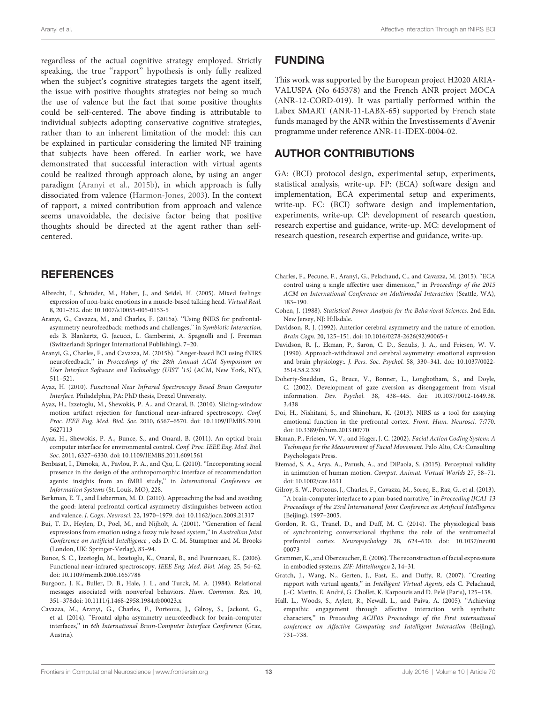<span id="page-13-28"></span><span id="page-13-22"></span><span id="page-13-18"></span><span id="page-13-15"></span><span id="page-13-6"></span>regardless of the actual cognitive strategy employed. Strictly speaking, the true "rapport" hypothesis is only fully realized when the subject's cognitive strategies targets the agent itself, the issue with positive thoughts strategies not being so much the use of valence but the fact that some positive thoughts could be self-centered. The above finding is attributable to individual subjects adopting conservative cognitive strategies, rather than to an inherent limitation of the model: this can be explained in particular considering the limited NF training that subjects have been offered. In earlier work, we have demonstrated that successful interaction with virtual agents could be realized through approach alone, by using an anger paradigm [\(Aranyi et al., 2015b\)](#page-12-1), in which approach is fully dissociated from valence [\(Harmon-Jones, 2003\)](#page-13-6). In the context of rapport, a mixed contribution from approach and valence seems unavoidable, the decisive factor being that positive thoughts should be directed at the agent rather than selfcentered.

#### <span id="page-13-29"></span><span id="page-13-3"></span><span id="page-13-2"></span><span id="page-13-1"></span>**REFERENCES**

- <span id="page-13-4"></span>Albrecht, I., Schröder, M., Haber, J., and Seidel, H. (2005). Mixed feelings: expression of non-basic emotions in a muscle-based talking head. Virtual Real. 8, 201–212. doi: 10.1007/s10055-005-0153-5
- <span id="page-13-21"></span>Aranyi, G., Cavazza, M., and Charles, F. (2015a). ''Using fNIRS for prefrontalasymmetry neurofeedback: methods and challenges," in Symbiotic Interaction, eds B. Blankertz, G. Jacucci, L. Gamberini, A. Spagnolli and J. Freeman (Switzerland: Springer International Publishing), 7–20.
- <span id="page-13-0"></span>Aranyi, G., Charles, F., and Cavazza, M. (2015b). ''Anger-based BCI using fNIRS neurofeedback,'' in Proceedings of the 28th Annual ACM Symposium on User Interface Software and Technology (UIST '15) (ACM, New York, NY), 511–521.
- <span id="page-13-25"></span>Ayaz, H. (2010). Functional Near Infrared Spectroscopy Based Brain Computer Interface. Philadelphia, PA: PhD thesis, Drexel University.
- <span id="page-13-14"></span>Ayaz, H., Izzetoglu, M., Shewokis, P. A., and Onaral, B. (2010). Sliding-window motion artifact rejection for functional near-infrared spectroscopy. Conf. Proc. IEEE Eng. Med. Biol. Soc. 2010, 6567–6570. doi: 10.1109/IEMBS.2010. 5627113
- <span id="page-13-13"></span>Ayaz, H., Shewokis, P. A., Bunce, S., and Onaral, B. (2011). An optical brain computer interface for environmental control. Conf. Proc. IEEE Eng. Med. Biol. Soc. 2011, 6327–6330. doi: 10.1109/IEMBS.2011.6091561
- <span id="page-13-10"></span>Benbasat, I., Dimoka, A., Pavlou, P. A., and Qiu, L. (2010). ''Incorporating social presence in the design of the anthropomorphic interface of recommendation agents: insights from an fMRI study," in International Conference on Information Systems (St. Louis, MO), 228.
- <span id="page-13-17"></span>Berkman, E. T., and Lieberman, M. D. (2010). Approaching the bad and avoiding the good: lateral prefrontal cortical asymmetry distinguishes between action and valence. J. Cogn. Neurosci. 22, 1970–1979. doi: 10.1162/jocn.2009.21317
- <span id="page-13-12"></span>Bui, T. D., Heylen, D., Poel, M., and Nijholt, A. (2001). ''Generation of facial expressions from emotion using a fuzzy rule based system,'' in Australian Joint Conference on Artificial Intelligence , eds D. C. M. Stumptner and M. Brooks (London, UK: Springer-Verlag), 83–94.
- <span id="page-13-5"></span>Bunce, S. C., Izzetoglu, M., Izzetoglu, K., Onaral, B., and Pourrezaei, K.. (2006). Functional near-infrared spectroscopy. IEEE Eng. Med. Biol. Mag. 25, 54–62. doi: 10.1109/memb.2006.1657788
- Burgoon, J. K., Buller, D. B., Hale, J. L., and Turck, M. A. (1984). Relational messages associated with nonverbal behaviors. Hum. Commun. Res. 10, 351–378doi: 10.1111/j.1468-2958.1984.tb00023.x
- Cavazza, M., Aranyi, G., Charles, F., Porteous, J., Gilroy, S., Jackont, G., et al. (2014). ''Frontal alpha asymmetry neurofeedback for brain-computer interfaces,'' in 6th International Brain-Computer Interface Conference (Graz, Austria).

#### <span id="page-13-19"></span>FUNDING

<span id="page-13-27"></span>This work was supported by the European project H2020 ARIA-VALUSPA (No 645378) and the French ANR project MOCA (ANR-12-CORD-019). It was partially performed within the Labex SMART (ANR-11-LABX-65) supported by French state funds managed by the ANR within the Investissements d'Avenir programme under reference ANR-11-IDEX-0004-02.

#### <span id="page-13-26"></span>AUTHOR CONTRIBUTIONS

<span id="page-13-9"></span><span id="page-13-8"></span>GA: (BCI) protocol design, experimental setup, experiments, statistical analysis, write-up. FP: (ECA) software design and implementation, ECA experimental setup and experiments, write-up. FC: (BCI) software design and implementation, experiments, write-up. CP: development of research question, research expertise and guidance, write-up. MC: development of research question, research expertise and guidance, write-up.

- <span id="page-13-24"></span><span id="page-13-11"></span>Charles, F., Pecune, F., Aranyi, G., Pelachaud, C., and Cavazza, M. (2015). ''ECA control using a single affective user dimension,'' in Proceedings of the 2015 ACM on International Conference on Multimodal Interaction (Seattle, WA), 183–190.
- <span id="page-13-23"></span>Cohen, J. (1988). Statistical Power Analysis for the Behavioral Sciences. 2nd Edn. New Jersey, NJ: Hillsdale.
- Davidson, R. J. (1992). Anterior cerebral asymmetry and the nature of emotion. Brain Cogn. 20, 125–151. doi: 10.1016/0278-2626(92)90065-t
- <span id="page-13-20"></span>Davidson, R. J., Ekman, P., Saron, C. D., Senulis, J. A., and Friesen, W. V. (1990). Approach-withdrawal and cerebral asymmetry: emotional expression and brain physiology:. J. Pers. Soc. Psychol. 58, 330–341. doi: 10.1037/0022- 3514.58.2.330
- <span id="page-13-30"></span>Doherty-Sneddon, G., Bruce, V., Bonner, L., Longbotham, S., and Doyle, C. (2002). Development of gaze aversion as disengagement from visual information. Dev. Psychol. 38, 438–445. doi: 10.1037/0012-1649.38. 3.438
- <span id="page-13-7"></span>Doi, H., Nishitani, S., and Shinohara, K. (2013). NIRS as a tool for assaying emotional function in the prefrontal cortex. Front. Hum. Neurosci. 7:770. doi: 10.3389/fnhum.2013.00770
- <span id="page-13-16"></span>Ekman, P., Friesen, W. V., and Hager, J. C. (2002). Facial Action Coding System: A Technique for the Measurement of Facial Movement. Palo Alto, CA: Consulting Psychologists Press.
- Etemad, S. A., Arya, A., Parush, A., and DiPaola, S. (2015). Perceptual validity in animation of human motion. Comput. Animat. Virtual Worlds 27, 58–71. doi: 10.1002/cav.1631
- Gilroy, S. W., Porteous, J., Charles, F., Cavazza, M., Soreq, E., Raz, G., et al. (2013). "A brain-computer interface to a plan-based narrative," in Proceeding IJCAI '13 Proceedings of the 23rd International Joint Conference on Artificial Intelligence (Beijing), 1997–2005.
- Gordon, R. G., Tranel, D., and Duff, M. C. (2014). The physiological basis of synchronizing conversational rhythms: the role of the ventromedial prefrontal cortex. Neuropsychology 28, 624–630. doi: 10.1037/neu00 00073
- Grammer, K., and Oberzaucher, E. (2006). The reconstruction of facial expressions in embodied systems. ZiF: Mitteilungen 2, 14–31.
- Gratch, J., Wang, N., Gerten, J., Fast, E., and Duffy, R. (2007). ''Creating rapport with virtual agents,'' in Intelligent Virtual Agents, eds C. Pelachaud, J.-C. Martin, E. André, G. Chollet, K. Karpouzis and D. Pelé (Paris), 125–138.
- Hall, L., Woods, S., Aylett, R., Newall, L., and Paiva, A. (2005). ''Achieving empathic engagement through affective interaction with synthetic characters,'' in Proceeding ACII'05 Proceedings of the First international conference on Affective Computing and Intelligent Interaction (Beijing), 731–738.